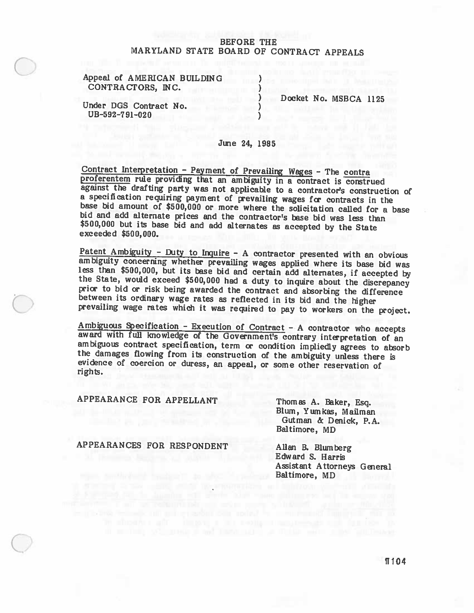# BEFORE THE MARYLAND STATE BOARD OF CONTRACT APPEALS

Appeal of AMERICAN BUILDING (a) CONTRACTORS, INC. (1998)

Under DGS Contract No.  $UB-592-791-020$ 

Docket No. MSBCA 1125

# June 24, 1985

Contract Interpretation - Payment of Prevailing Wages - The contra proferentem rule providing that an ambiguity in a contract is construed against the drafting party was not applicable to a contractor's construction of a specification requiring payment of prevailing wages for contracts in the base bid amount of \$500,000 or more where the solicitation called for a base<br>bid and add alternate prices and the contractor's base bid was less than<br>\$500,000 but its base bid and add alternates as accepted by the State<br>ex

<u>Patent Ambiguity - Duty to Inquire</u> - A contractor presented with an obvious<br>ambiguity concerning whether prevailing wages applied where its base bid was<br>less than \$500,000, but its base bid and certain add alternates, i

Ambiguous Specification - Execution of Contract - A contractor who accepts award with full knowledge of the Government's contrary interpretation of an ambiguous contract specification, term or condition impliedly agrees to

APPEARANCE FOR APPELLANT<br>Blum, Yumkas, Mailman Blum, Yumkas, Mailman Gutman & Denick, P.A. Baltimore, MD

APPEARANCES FOR RESPONDENT Allan B. Blumberg

Edward S. Harris Assistant Attorneys General Baltimore, MD

11104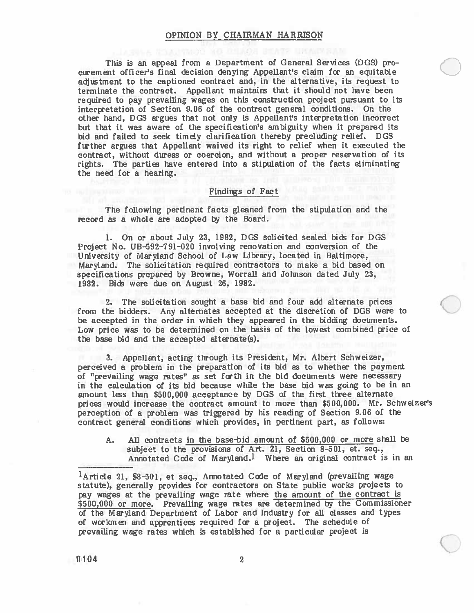#### OPINION BY CHAIRMAN HARRISON

This is an appeal from <sup>a</sup> Department of General Services (DGS) pro curement officer's final decision denying Appellant's claim for an equitable adjustment to the captioned contract and, in the alternative, its reques<sup>t</sup> to terminate the contract. Appellant maintains that it should not have been required to pay prevailing wages on this construction project pursuan<sup>t</sup> to its interpretation of Section 9.06 of the contract genera<sup>l</sup> conditions. On the other hand, DGS argues that not only is Appellant's interpretation incorrect but that it was aware of the specification's ambiguity when it prepared its bid and failed to seek timely clarification thereby precluding relief. DGS further argues that Appellant waived its right to relief when it executed the contract, without duress or coercion, and without <sup>a</sup> proper reservation of its rights. The parties have entered into <sup>a</sup> stipulation of the facts eliminating the need for <sup>a</sup> hearing.

# Findings of Fact

The following pertinent facts gleaned from the stipulation and the record as <sup>a</sup> whole are adopted by the Board.

1. On or about July 23, 1982, DGS solicited sealed bids for DGS Project No. UB-592—791-020 involving renovation and conversion of the University of Maryland School of Law Library, located in Baltimore, Maryland. The solicitation required contractors to make <sup>a</sup> bid based on specifications prepared by Browne, Worrall and Johnson dated July 23, 1982. Bids were due on August 26, 1982.

2. The solicitation sought <sup>a</sup> base bid and four add alternate prices from the bidders. Any alternates accepted at the discretion of DOS were to be accepted in the order in which they appeared in the bidding documents. Low price was to be determined on the basis of the lowest combined price of the base bid and the accepted alternate(s).

3. Appellant, acting through its President, Mr. Albert Schweizer, perceived <sup>a</sup> problem in the preparation of its bid as to whether the paymen<sup>t</sup> of "prevailing wage rates" as set forth in the bid documents were necessary in the calculation of its bid because while the base bid was going to be in an amount less than \$500,000 acceptance by DOS of the first three alternate prices would increase the contract amount to more than \$500,000. Mr. Schweizer's perception of a problem was triggered by his reading of Section 9.06 of the contract genera<sup>l</sup> conditions which provides, in pertinent part, as follows:

A. All contracts in the base-bid amount of \$500,000 or more stall be subject to the provisions of Art. 21, Section 8—501, et. seq., Annotated Code of Maryland.<sup>1</sup> Where an original contract is in an

<sup>1</sup>Article 21, §8-501, et seq., Annotated Code of Maryland (prevailing wage statute), generally provides for contractors on State public works project to pay wages at the prevailing wage rate where the amount of the contract is \$500,000 or more. Prevailing wage rates are determined by the Commissioner of the Maryland Department of Labor and Industry for all classes and types of workmen and apprentices required for <sup>a</sup> project. The schedule of prevailing wage rates which is established for <sup>a</sup> particular project is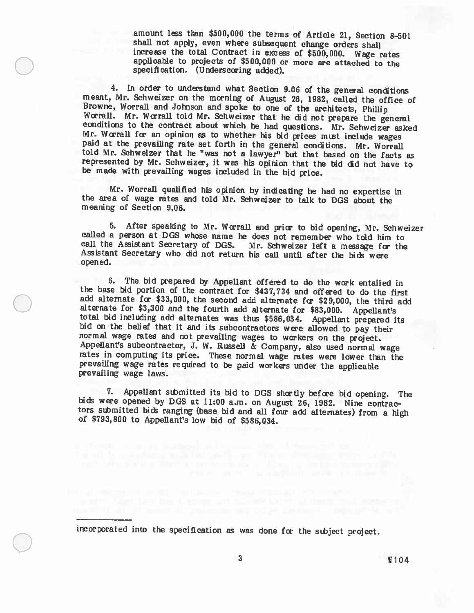amount less than \$500,000 the terms of Article 21, Section 8—501 increase the total Contract in excess of \$500,000. Wage rates applicable to projects of \$500,000 or more are attached to the specification. (Underscoring added).

4. In order to understand what Section 9.06 of the general conditions meant, Mr. Schweizer on the morning of August 26, 1982, called the office of Browne, Worrall and Johnson and spoke to one of the architects, Phillip Worrall. Mr. Worrall told Mr. Schweizer that he did not prepare the general conditions to the contract about which he had questions. Mr. Schweizer asked Mr. Worrall for an opinion as to whether his bid prices must include told Mr. Schweizer that he "was not a lawyer" but that based on the facts as represented by Mr. Schweizer, it was his opinion that the bid did not have to be made with prevailing wages included in the bid price.

Mr. Worrall qualified his opinion by indicating he had no expertise in the area of wage rates and told Mr. Schweizer to talk to DOS about the meaning of Section 9.06.

5. After spealdng to Mr. Wa'rall and prior to bid opening, Mr. Schweizer called <sup>a</sup> person at DGS whose name he does not remember who told him to call the Assistant Secretary of DGS. Mr. Schweizer left a message for the Assistant Secretary who did not return his call until after the bids were opened.

6. The bid prepared by Appellant offered to do the work entailed in the base bid portion of the contract for \$437,734 and offered to do the first add alternate for \$33,000, the second add alternate for \$29,000, the third add alternate for \$3,300 and the fourth add alternate for \$83,000. Appellant's<br>total bid including add alternates was thus \$586,034. Appellant prepared its<br>bid on the belief that it and its subcontractors were allowed to pay

7. Appellant sthmitted its bid to DOS shortly before bid opening. The bids were opened by DOS at 11:00 a.m. on August 26, 1982. Nine contrac tors sthmitted bids ranging (base bid and all four add alternates) from <sup>a</sup> high of \$793,800 to Appellant's low bid of \$586,034.

incorporated into the specification as was done for the subject project.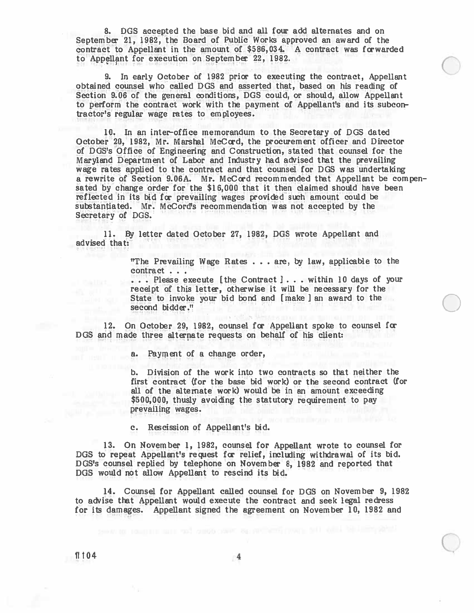8. DOS accepted the base bid and all four add alternates and on September 21, 1982, the Board of Public Works approved an award of the contract to Appellant in the amount of \$586,034. A contract was forwarded to Appellant for execution on September 22, 1982.

9. In early October of 1982 prior to executing the contract, Appellant obtained counsel who called DOS and asserted that, based on his reading of Section 9.06 of the general conditions, DOS could, or should, allow Appellant to perform the contract work with the paymen<sup>t</sup> of Appellant's and its subcon tractor's regular wage rates to employees.

10. In an inter-office memorandum to the Secretary of DOS dated October 20, 1982, Mr. Marshal McCord, the procuremen<sup>t</sup> officer and Director of DOS's Office of Engineering and Construction, stated that counsel for the Maryland Department of Labor and Industry had advised that the prevailing wage rates applied to the contract and that counsel for DOS was undertaking <sup>a</sup> rewrite of Section 9.06A. Mr. McCord recommended that Appellant be compen sated by change order for the \$16,000 that it then claimed should have been reflected in its bid for prevailing wages provided such amount could be subetantiated. Mr. McCords recommendation was not accepted by the Secretary of DOS.

11. By letter dated October 27, 1982, DOS wrote Appellant and advised that:

> "The Prevailing Wage Rates . . . are, by law, applicable to the contract...

... Please execute [the Contract ]... within 10 days of your receipt of this letter, otherwise it will be necessary for the State to invoke your bid bond and [make I an award to the second bidder."

12. On October 29, 1982, counsel for Appellant spoke to counsel for DOS and made three alternate requests on behalf of his client:

a. Payment of <sup>a</sup> change order,

b. Division of the work into two contracts so that neither the first contract (for the base bid work) or the second contract (for all of the alternate work) would be in an amount exceeding \$500,000, thusly avoiding the statutory requirement to pay prevailing wages.

C

c. Rescission of Appellant's bid.

13. On November 1, 1982, counsel for Appellant wrote to counsel for DOS to repea<sup>t</sup> Appellant's reques<sup>t</sup> for relief, including withdrawal of its bid. DOS's counsel replied by telephone on November 8, 1982 and reported that DOS would not allow Appellant to rescind its bid.

14. Counsel for Appellant called counsel for DOS on November 9, 1982 to advise that Appellant would execute the contract and seek legal redress for its damages. Appellant signed the agreemen<sup>t</sup> on November 10, 1982 and

 $\P{104}$  4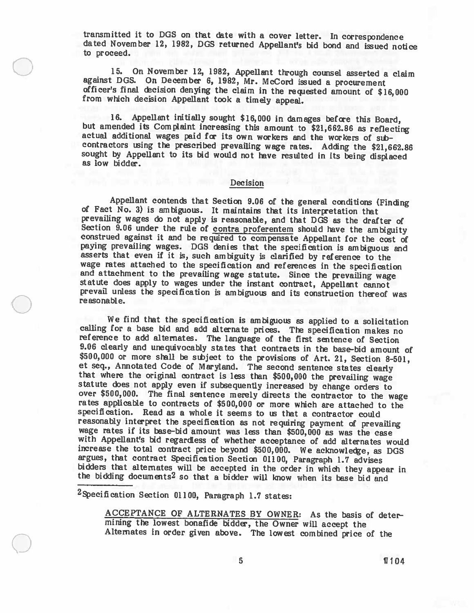transmitted it to DGS on that date with a cover letter. In correspondence dated November 12, 1982, DGS returned Appellant's bid bond and issued notice to proceed.

15. On November 12, 1982, Appellant through counsel asserted <sup>a</sup> claim against DGS. On December 6, 1982, Mr. McCord issued a procurement officer's final decision denying the claim in the requested amount of \$16,000 from which decision Appellant took a timely appeal.

16. Appellant initially sought \$16,000 in damages before this Board, but amended its Complaint increasing this amount to \$21,662.86 as reflecting actual additional wages paid fcc its own workers and the workers of sth contractors using the prescribed prevailing wage rates. Adding the \$21,662.86 sought by Appellant to its bid would not have resulted in its being displaced as low bidder.

## Decision

Appellant contends that Section 9.06 of the general conditions (Finding of Fact No. 3) is ambiguous. It maintains that its interpretation that prevailing wages do not apply is reasonable, and that DGS as the drafter of Sec construed against it and be required to compensate Appellant for the cost of paying prevailing wages. DGS denies that the specification is ambiguous and asserts that even if it is, such ambiguity is clarified by reference to the wage rates attached to the specification and references in the specification and attachment to the prevailing wage statute. Since the prevailing wage statute does apply to wages under the instant contract, Appellant cannot prevail unless the specification is ambiguous and its construction thereof w reasonable.

We find that the specification is ambiguous as applied to <sup>a</sup> solicitation calling for a base bid and add alternate prices. The specification makes no reference to add alternates. The language of the first sentence of Section 9.06 clearly and unequivocably states that contracts in the base-bid amount of \$500,000 or more shall be subject to the provisions of Art. 21, Section 8-501, et seq., Annotated Code of Maryland. The second sentence states clearly that where the original contract is less than \$500,000 the prevailing wage statute does not apply even if subsequently increased by change orders to o rates applicable to contracts of \$500,000 or more which are attached to the specification. Read as a whole it seems to us that a contractor could reasonably interpret the specification as not requiring payment of prevailing wage rates if its base-bid amount was less than \$500,000 as was the case with Appellant's bid regardless of whether acceptance of add alternates would increase the total contract price beyond \$500,000. We acknowledge, as DGS argues, that contract Specification Section 01100, Paragraph 1.7 advis bidders that alternates will be accepted in the order in which they appear in the bidding documents<sup>2</sup> so that a bidder will know when its base bid and

 $2$ Specification Section 01100, Paragraph 1.7 states:

ACCEPTANCE OF ALTERNATES BY OWNER: As the basis of deter mining the lowest bonafide bidder, the Owner will accept the Alternates in order <sup>g</sup>iven above. The lowest combined price of the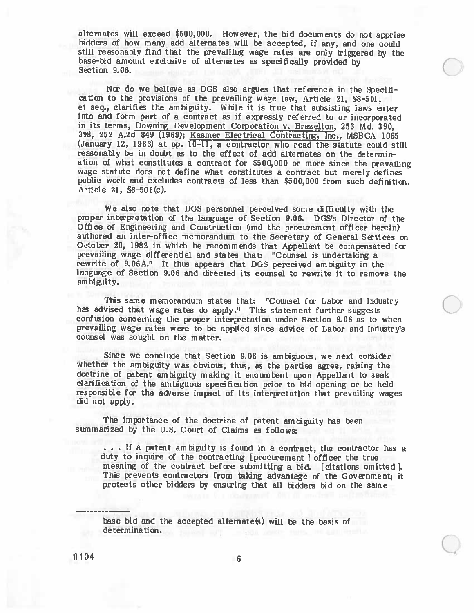alternates will exceed \$500,000. However, the bid documents do not apprise bidders of how many add alternates will be accepted, if any, and one could base-bid amount exclusive of alternates as specifically provided by Section 9.06.

Nor do we believe as DGS also argues that reference in the Specification to the provisions of the prevailing wage law, Article 21, §8-501, et seq., clarifies the ambiguity. While it is true that subsisting laws enter into and form par<sup>t</sup> of <sup>a</sup> contract as if expressly referred to or incorporated in its terms, Downirg Development Corporation v. Brazelton, <sup>253</sup> Md. 390, 398, 252 A.2d 849 (1969); Kasmer Electrical Contracting, Inc., MSBCA 1065 (January 12, 1983) at pp. 10-11, a contractor who read the statute could still reasonably be in doubt as to the effect of add alternates on the determination of what constitutes <sup>a</sup> contract for \$500,000 or more since the prevailing wage statute does not define what constitutes <sup>a</sup> contract but merely defines public work and excludes contracts of less than \$500,000 from such definition. Article 21, §8—501(c).

We also note that DOS personnel perceived some difficulty with the proper interpretation of the language of Section 9.06. DOS's Director of the Office of Engineering and Construction (and the procuremen<sup>t</sup> officer herein) authored an inter-office memorandum to the Secretary of General Services on October 20, 1982 in which he recommends that Appellant be compensated for prevailing wage differential and states that: "Counsel is undertaking a rewrite of 9.06A." It thus appears that DOS perceived ambiguity in the language of Section 9.06 and directed its counsel to rewrite it to remove the am biguity.

This same memorandum states that: "Counsel for Labor and Industry has advised that wage rates do apply." This statement further suggests confusion concerning the proper interpretation under Section 9.06 as to when prevailing wage rates were to be applied since advice of Labor and Industry's counsel was sought on the matter.

Since we conclude that Section 9.06 is ambiguous, we next consider whether the ambiguity was obvious, thus, as the parties agree, raising the doctrine of patent ambiguity making it encumbent upon Appellant to seek clarification of the ambiguous specification prior to bid opening or be held responsible for the adverse impact of its interpretation that prevailing wages did not apply.

The importance of the doctrine of patent ambiguity has been summarized by the U.S. Court of Claims as follows:

.. If a patent ambiguity is found in a contract, the contractor has a duty to inquire of the contracting [procurement ] officer the true meaning of the contract before submitting a bid. [citations omitted ]. This prevents contractors from taking advantage of the Government; it protects other bidders by ensuring that all bidders bid on the same

hese bid and the accepted alternate(s) will be the basis of determination.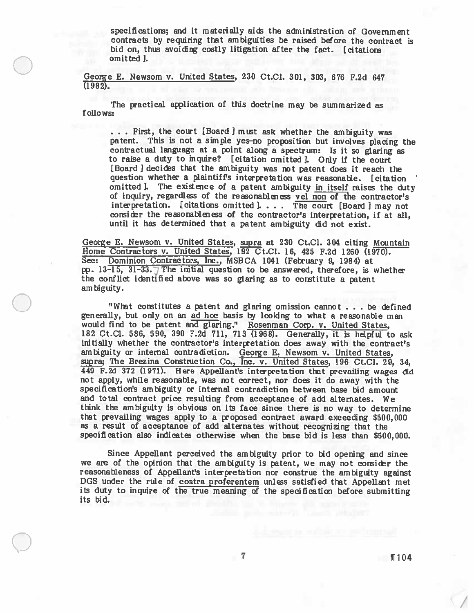specifications; and it materially aids the administration of Government contracts by requiring that ambiguities be raised before the contract is bid on, thus avoiding costly litigation after the fact. [citations omitted ].

George E. Newsom v. United States, 230 Ct.CJ. 301, 303, 676 F.2d 647 (1982).

The practical application of this doctrine may be summarized as follows:

... First, the court [Board ] must ask whether the ambiguity was patent. This is not <sup>a</sup> simple yes-no proposition but involves <sup>p</sup>lacing the contractual language at <sup>a</sup> point along <sup>a</sup> spectrum: Is it so <sup>g</sup>laring as to raise <sup>a</sup> duty to inquire? [citation omitted]. Only if the court [Board I decides that the ambiguity was not patent does it reach the question whether <sup>a</sup> <sup>p</sup>laintiffs interpretation was reasonable. [citation omitted I. The existence of a patent ambiguity in itself raises the duty of inquiry, regardless of the reasonableness vel non of the contractor's interpretation. [citations omitted].... The court [Board ] may not consider the reasonableness of the contractor's interpretation, if at all, until it has determined that <sup>a</sup> patent ambiguity did not exist.

George E. Newsom v. United States, supra at 230 Ct.Cl. 304 citing Mountain Home Contractors v. United States, 192 Ct.Cl. 16, <sup>425</sup> F.2d <sup>1260</sup> (1970). See: Dominion Contractors, Inc., MSBCA 1041 (February 9, 1984) at pp. 13-15, 31-33. The initial question to be answered, therefore, is whether the conflict identified above was so glaring as to constitute a patent ambiguity.

"What constitutes <sup>a</sup> patent and glaring omission cannot . . be defined generally, but only on an ad hoc basis by looking to what <sup>a</sup> reasonable man would find to be patent and glaring." Rosenman Corp. v. United States, <sup>182</sup> Ct.C1. 586, 590, <sup>390</sup> F.2d 711, <sup>713</sup> (1968). Generally, it is helpful to ask initially whether the contractor's interpretation does away with the contract's ambiguity or internal contradiction. George E. Newsom v. United States, supra; The Brezina Construction Co., Inc. v. United States, 196 Ct.Cl. 29, 34, <sup>449</sup> F.2d <sup>372</sup> (1971). Here Appellant's interpretation that prevailing wages did not apply, while reasonable, was not correct, nor does it do away with the specification's ambiguity or internal contradiction between base bid amount and total contract price resulting from acceptance of add alternates. We think the ambiguity is obvious on its face since there is no way to determine that prevailing wages apply to <sup>a</sup> propose<sup>d</sup> contract award exceeding \$500,000 as <sup>a</sup> result of acceptance of add alternates without recognizing that the specification also indicates otherwise when the base bid is less than \$500,000.

Since Appellant perceived the ambiguity prior to bid opening and since we are of the opinion that the ambiguity is patent, we may not consider the reasonableness of Appellant's interpretation nor construe the ambiguity against DGS under the rule of contra proferentem unless satisfied that Appellant met its duty to inquire of the true meaning of the specification before submitting its bid.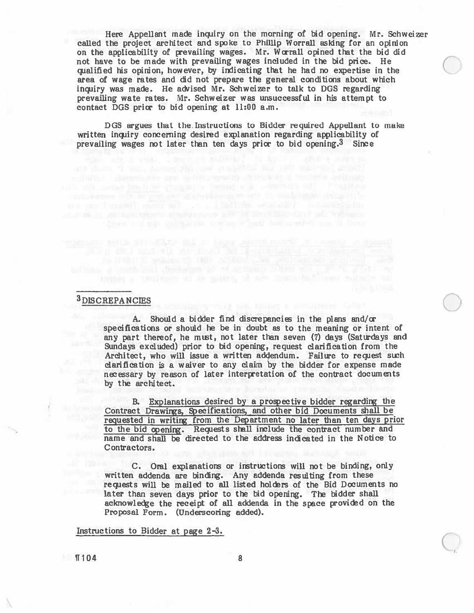Here Appellant made inquiry on the morning of bid opening. Mr. Schweizer called the project architect and spoke to Philip Worrall asking for an opinion on the applicability of grevailing wages. Mr. Worrall opined that the bid did not have to be made with prevailing wages included in the bid price. He qualified his opinion, however, by indicating that he had no expertise in the area of wage rates and did not prepare the general conditions about which inquiry was made. He advised Mr. Schweizer to talk to DOS regarding prevailing wate rates. Mr. Schweizer was unsuccessful in his attempt to contact DGS prior to bid opening at 11:00 a.m.

DOS argues that the. Instructions to Bidder required Appellant to make written inquiry concerning desired explanation regarding applicability of prevailing wages not later than ten days prior to bid opening.3 Since

### 3DISCREPANCIES

A. Should <sup>a</sup> bidder find discrepancies in the plans and/or specifications or should he be in doubt as to the meaning or intent of any par<sup>t</sup> thereof, he mist, not later than seven (7) days (Saturdays and Sundays excluded) prior to bid opening, reques<sup>t</sup> clarification from the Architect, who will issue a written addendum. Failure to request such clarification is <sup>a</sup> waiver to any daim by the bidder for expense made necessary by reason of later interpretation of the contract documents by the architect.

B. Explanations desired by a prospective bidder regarding the Contract Drawings, Specifications, and other bid Documents shall be requested in writing from the Department no later than ten days prior to the bid openirg. Requests shall inclwie the contract number and name and shall be directed to the address indicated in the Notice to Contractors.

C. Oral explanations or instructions will not be binding, only written addenda are binding. Any addenda resulting from these requests will be mailed to all listed holders of the Bid Documents no later than seven days prior to the bid operirg. The bidder shall acknowledge the receipt of all addenda in the space provided on the Proposal Form. (Underscoring added).

Instructions to Bidder at page 2—3.

 $\blacksquare$ 104 8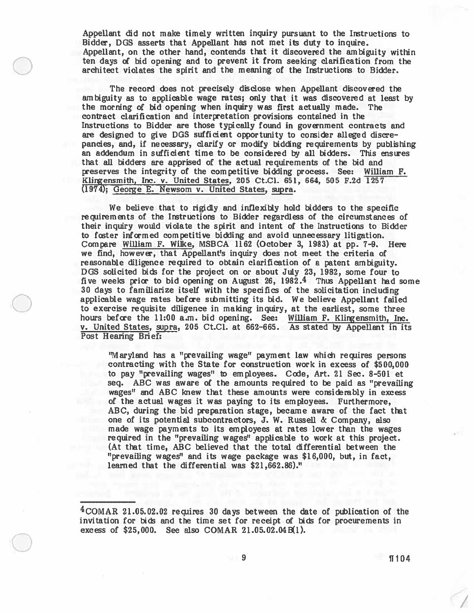Appellant did not make timely written inquiry pursuan<sup>t</sup> to the Instructions to Bidder, DOS asserts that Appellant has not met its duty to inquire. Appellant, on the other hand, contends that it discovered the ambiguity within ten days of bid opening and to preven<sup>t</sup> it from seeking clarification from the architect violates the spirit and the meaning of the Instructions to Bidder.

The record does not precisely disclose when Appellant discovered the ambiguity as to applicable wage rates; only that it was discovered at least by the morning of bid opening when inquiry was first actually made. The contract clarification and interpretation provisions contained in the Instructions to Bidder are those typically found in governmen<sup>t</sup> contracts and are designed to give DGS sufficient opportunity to consider alleged discrepancies, and, if necessary, clarify or modify bidding requirements by publishing an addendum in sufficient time to be considered by all bidders. This ensures that all bidders are apprised of the actual requirements of the bid and preserves the integrity of the competitive bidding process. See: William F. Klirgensmith, Inc. v. United States, 205 Ct.C1. 651, 664, 505 F.2d 1257 (1974); George E. Newsom V. United States, supra.

We believe that to rigidly and inflexibly hold bidders to the specific requirements of the Instructions to Bidder regardless of the circumstances of their inquiry would violate the spirit and intent of the Instructions to Bidder to fcster informed competitive bidding and avoid unnecessary litigation. Compare William F. Wilke, MSBCA <sup>1162</sup> (October 3, 1983) at pp. 7-9. Here we find, however, that Appellant's inquiry does not meet the criteria of reasonable diligence required to obtain clarification of <sup>a</sup> patent ambiguity. DGS solicited bids for the project on or about July 23, 1982, some four to five weeks prior to bid opening on August 26, 1982.4 Thus Appellant had some 30 days to familiarize itself with the specifics of the solicitation including applicable wage rates before submitting its bid. We believe Appellant failed to exercise requisite diligence in making inquiry, at the earliest, some three hours before the 11:00 a.m. bid opening. See: William F. Klirgensmith, Inc. v. United States, supra, 205 Ct.Cl. at 662—665. As stated by Appellant in its Post Hearing Brief:

"Maryland has <sup>a</sup> "prevailing wage" paymen<sup>t</sup> law which requires persons contracting with the State for construction work in excess of \$500,000 to pay "prevailing wages" to employees. Code, Art. 21 Sec. 8-501 et seq. ABC was aware of the amounts required to be paid as "prevailing wages" and ABC knew that these amounts were considerably in excess of the actual wages it was paying to its employees. Furthermore, ABC, during the bid preparation stage, became aware of the fact that one of its potential subcontractors, J. W. Russell & Company, also made wage payments to its employees at rates lower than the wages required in the "prevailing wages" applicable to work at this project. (At that time, ABC believed that the total differential between the "prevailing wages" and its wage package was \$16,000, but, in fact, learned that the differential was \$21,662.86)."

<sup>4</sup>C0MAR 21.05.02.02 requires 30 days between the date of publication of the invitation for bids and the time set for receipt of bids for procurements in excess of  $$25,000$ . See also COMAR 21.05.02.04B(1).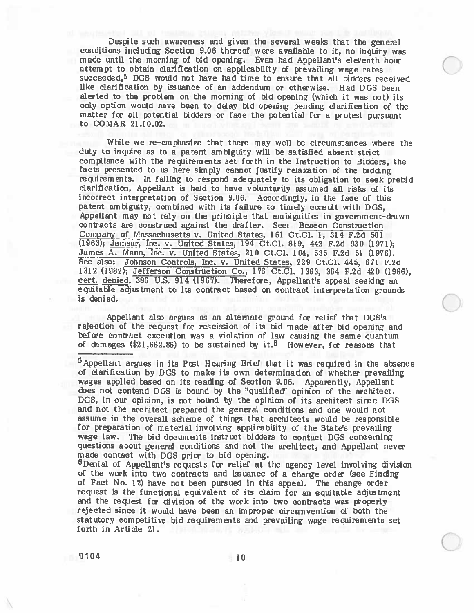Despite such awareness and <sup>g</sup>iven the several weeks that the genera<sup>l</sup> conditions including Section 9.06 thereof were available to it, no inquiry was made until the morning of bid opening. Even had Appellant's eleventh hour attempt to obtain clarification on applicability d prevailing wage rates succeeded,<sup>5</sup> DGS would not have had time to ensure that all bidders received like clarification by issuance of an addendum or otherwise. Had DGS been alerted to the problem on the morning of bid opening (which it was not) its only option would have been to delay bid opening pending clarification of the matter for all potential bidders or face the potential for a protest pursuant to COMAR 21.10.02.

While we re-emphasize that there may well be circumstances where the duty to inquire as to <sup>a</sup> patent ambiguity will be satisfied absent strict compliance with the requirements set forth in the Instruction to Bidders, the facts presented to us here simply cannot justify relaxation of the bidding requirements. In failing to respon<sup>d</sup> adequately to its obligation to seek prebid clarification, Appeilant is held to have voluntarily assumed all risks of its incorrect interpretation of Section 9.06. Accordingly, in the face of this patent ambiguity, combined with its failure to timely consult with DOS, Appellant may not rely on the principle that ambiguities in government-drawn contracts are construed against the drafter. See: Beacon Construction Company of Massachusetts v. United States, 161 Ct.Cl. 1, 314 F.2d 501 (1963); Jamsar, Inc. v. United States, 194 Ct.Cl. 819, 442 F.2d 930 (1971); James A. Mann, Inc. v. United States, 210 Ct.C1. 104, 535 F.2d 51 (1976). See also: Johnson Controls, Inc. v. United States, 229 Ct.Cl. 445, 671 F.2d 1312 (1982); Jefferson Construction Co., 176 Ct.C1. 1363, 364 F.2d 420 (1966), cert. denied, 386 U.S. 914 (1967). Therefore, Appellant's appeal seeking an equitable adjustment to its contract based on contract interpretation grounds is denied.

Appellant also argues as an alternate ground for relief that DGS's rejection of the reques<sup>t</sup> for rescission of its bid made after bid opening and before contract execution was a violation of law causing the same quantum of damages  $(\$21,662.86)$  to be sustained by it.<sup>6</sup> However, for reasons that

5 Appellant argues in its Post Hearing Brief that it was required in the absence of clarification by DOS to make its own determination of whether prevailing wages applied based on its reading of Section 9.06. Apparently, Appellant does not contend DGS is bound by the "qualified" opinion of the architect. DGS, in our opinion, is not bound by the opinion of its architect since DGS and not the architect prepared the general conditions and one would not assume in the overall scheme of things that architects would be responsible for preparation of material involving applicability of the State's prevailing wage law. The bid documents instruct bidders to contact DOS concerning questions about genera<sup>l</sup> conditions and not the architect, and Appellant never made contact with DGS prior to bid opening.

 $6$ Denial of Appellant's requests for relief at the agency level involving division of the work into two contracts and issuance of <sup>a</sup> change order (see Finding of Fact No. 12) have not been pursued in this appeal. The change order reques<sup>t</sup> is the functional equivalent of its claim for an equitable adjustment and the reques<sup>t</sup> fcc division of the work into two contracts was properly rejected since it would have been an improper circumvention of both the statutory competitive bid requirements and prevailing wage requirements set forth in Article 21.  $\blacksquare$ 104 10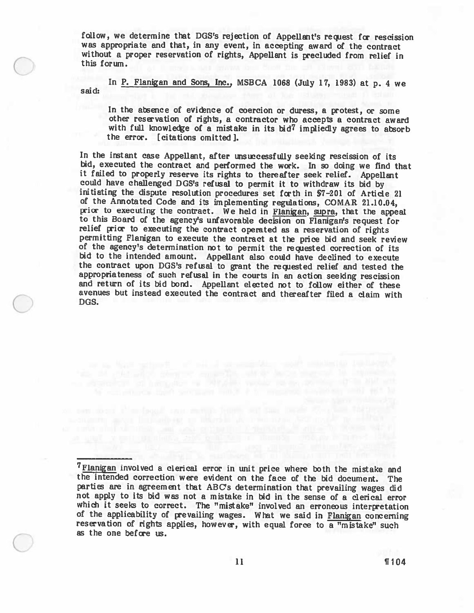follow, we determine that DGS's rejection of Appellant's request for rescission was appropriate and that, in any event, in accepting award of the contract without <sup>a</sup> proper reservation of rights, Appellant is precluded from relief in this forum.

In P. Flanigan and Sons, Inc., MSBCA 1068 (July 17, 1983) at p. 4 we said:

In the absence of evidence of coercion or duress, a protest, or some other reservation of rights, <sup>a</sup> contractor who accepts <sup>a</sup> contract award with full knowledge of a mistake in its bid<sup>7</sup> impliedly agrees to absorb the error. [citations omitted 1.

In the instant case Appellant, after unsuccessfully seeking rescission of its bid, executed the contract and performed the work. In so doing we find that it failed to properly reserve its rights to thereafter seek relief. could have challenged DGS's refusal to permit it to withdraw its bid by initiating the dispute resolution procedures set forth in \$7-201 of Article 21 of the Annotated Code and its implementing regulations, COMAR 21.10.04, prior to executing the contract. We held in Flanigan, supra, that the appeal to this Board of the agency's unfavorable decision on Flanigan's request for relief prior to executing the contract operated as <sup>a</sup> reservation of rights permitting Flanigan to execute the contract at the price bid and seek review of the agency's determination not to permit the recpested correction of its bid to the intended amount. Appellant also could have declined to execute the contract upon DGS's refusal to grant the requested relief and tested the appropriateness of such refusal in the courts in an action seeking rescission and return of its bid bond. Appellant elected not to follow either of these avenues but instead executed the contract and thereafter filed <sup>a</sup> claim with DGS.

<sup>&</sup>lt;sup>7</sup>Flanigan involved a clerical error in unit price where both the mistake and the intended correction were evident on the face of the bid document. The parties are in agreement that ABC's determination that prevailing wages did not apply to its bid was not <sup>a</sup> mistake in bid in the sense of <sup>a</sup> clerical error which it seeks to correct. The "mistake" involved an erroneous interpretation of the applicability of prevailing wages. What we said in Flanigan concerning reservation of rights applies, however, with equal force to a "mi as the one before us.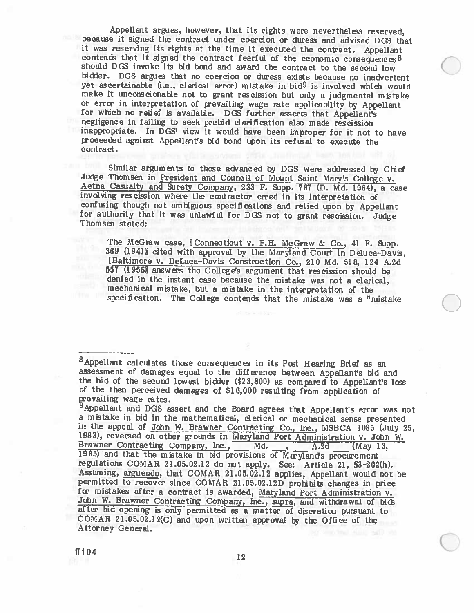Appellant argues, however, that its rights were nevertheless reserved, because it signed the contract under coercion or duress and advised DGS that it was reserving its rights at the time it executed the contract. Appellan contends that it signed the contract fearful of the economic consequences  $8$  should DGS invoke its bid bond and award the contract to the second low bidder. DOS argues that no coercion or duress exists because no inadvertent yet ascertainable (i.e., clerical error) mistake in bid<sup>9</sup> is involved which would make it unconscionable not to grant rescission but only <sup>a</sup> judgmental mistake or error in interpretation of prevailing wage rate applicability by Appellant for which no relief is available. DGS further asserts that Appellant's negligence in failing to seek prebid clarification also made rescission inappropriate. In DGS' view it would have been improper for it not to have proceeded against Appellant's bid bond upon its reftsal to execute the contract.

Similar arguments to those advanced by DGS were addressed by Chief Judge Thomsen in <u>President and Council of Mount Saint Mary's College v.</u><br>Aetna Casualty and Surety Company, 233 F. Supp. 787 (D. Md. 1964), a case involvi

The McGraw case, [Connecticut v. F.H. McGraw & Co., 41 F. Supp. 369 (1941) cited with approval by the Maryland Court in Deluca-Davis, [Baltimore v. DeLuca—Davis Construction Co., 210 Md. 518, <sup>124</sup> A.2d 557 (1956) answers the College's argument that rescission should be denied in the instant case because the mistake was not <sup>a</sup> clerical, mechanical mistake, but <sup>a</sup> mistake in the interpretation of the specification. The College contends that the mistake was a "mistake

<sup>&</sup>lt;sup>8</sup> Appellant calculates those consequences in its Post Hearing Brief as an assessment of damages equal to the difference between Appellant's bid and the bid of the second lowest bidder  $(\$23,800)$  as compared to Appellant's loss of the then perceived damages of \$16,000 resulting from application of prevailing wage rates.

<sup>&</sup>lt;sup>9</sup> Appellant and DGS assert and the Board agrees that Appellant's error was not a mistake in bid in the mathematical, clerical or mechanical sense presented in the appeal of John W. Brawner Contracting Co., Inc., MSBCA 1085 (July 25, 1983), reversed on other grounds in Maryland Port Administration v. John W. Brawner Contracting Company, Inc., Md. , A.2d (May 13, Brawner Contracting Company, Inc., Md., A.2d (May 13, 1985) and that the mistake in bid provisions of Maryland's procurement regulations COMAR 21.05.02.12 do not apply. See: Article 21, \$3-202(h).<br>Assuming, arguendo, that COMAR 21.05.02.12 applies, Appellant would not be permitted to recover since COMAR 21.05.02.12D prohibits changes in price<br>for mistakes after a contract is awarded, Maryland Port Administration v.<br>John W. Brawner Contracting Company, Inc., supra, and withdrawal of bids<br>af COMAR 21.05.02.12(C) and upon written approval by the Office of the Attorney General.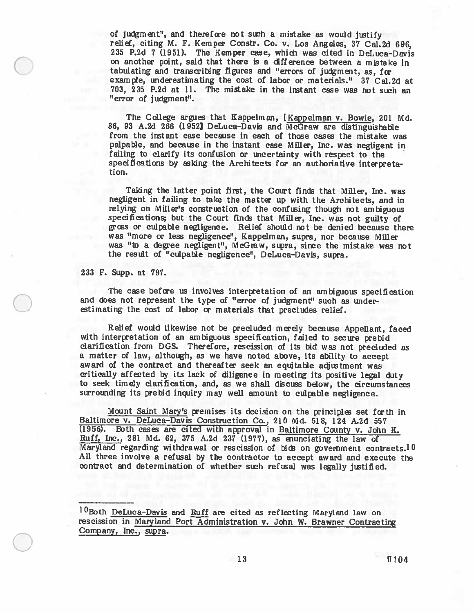of judgment", and therefore not such a mistake as would justify relief, citing M. F. Kemper Constr. Co. v. Los Angeles, <sup>37</sup> CaL2d 696, 235 P.2d 7 (1951). The Kemper case, whith was cited in DeLuca—Davis on another point, said that there is <sup>a</sup> difference between <sup>a</sup> mistake in tabulating and transcribing figures and "errors of judgment, as, for example, underestimating the cost of labor or materials." 37 Cal.2d at 703, 235 P.2d at 11. The mistake in the instant ease was not such an "error of judgment".

The College argues that Kappelman, [Kappelman v. Bowie, <sup>201</sup> Md. 86, <sup>93</sup> A.Zd <sup>266</sup> (1952] DeLuca-Davis and McGraw are distinguishable from the instant case because in each of those cases the mistake was palpable, and because in the instant case Miller, Inc. was negligent in failing to clarify its confusion or uncertainty with respect to the specifications by asking the Architects for an authoriative interpreta tion.

Taking the latter point first, the Court finds that Miller, Ire. was negligent in failing to take the matter up with the Architects, and in relying on Miller's construction of the confusing though not ambiguous specifications; but the Court finds that Miller, Inc. was not guilty of gross or culpable negligence. Relief should not be denied because there was "more or less negligence", Kappelman, supra, nor because Miller was "to <sup>a</sup> degree negligent", McGraw, stpra, since the mistake was not the result of "culpable negligence", DeLuca—Davis, supra.

233 F. Supp. at 797.

The case before us involves interpretation of an ambiguous specification and does not represent the type of "error of judgment" such as under estimating the cost of labor or materials that precludes relief.

Relief would likewise not be precluded merely because Appellant, faced with interpretation of an ambiguous specification, failed to secure prebid clarification from DGS. Therefore, rescission of its bid was not precluded as <sup>a</sup> matter of law, although, as we have noted above, its ability to accept award of the contract and thereafter seek an equitable adjustment was critically affected by its lack of diligence in meeting its positive legal duty to seek timely clarification, and, as we shall discuss below, the circumstances surrounding its prebid inquiry may well amount to culpable negligence.

Mount Saint Mary's premises its decision on the principles set forth in Baltimore v. DeLuca-Davis Construction Co., 210 Md. 518, 124 A.2d 557 (1956). Both cases are cited with approval in Baltimore County v. John K. Ruff, Inc., 281 Md. 62, 375 A.2d 237 (1977), as enunciating the law of Maryland regarding withdrawal or rescission of bids on government contracts.<sup>10</sup> AU three involve <sup>a</sup> refusal by the contractor to accept award and execute the contract and determination of whether such refusal was legally justified.

10Both DeLuca-Davis and Ruff are cited as reflecting Maryland law on rescission in Maryland Port Administration v. John W. Brawner Contracting Company, Inc., aipra.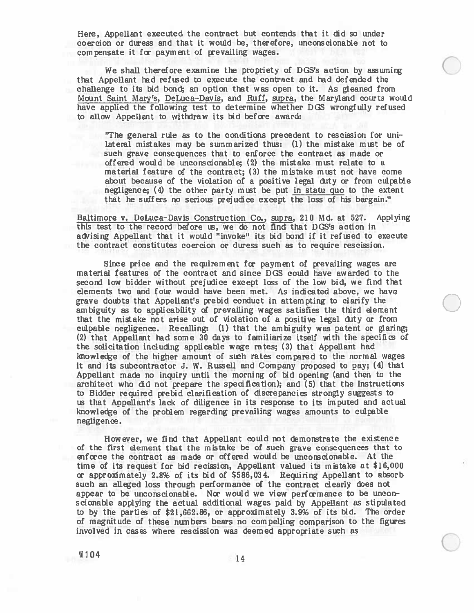Here, Appellant executed the contract but contends that it did so under coercion or duress and that it would be, therefore, unconscionable not to compensate it for payment of prevailing wages.

We shall therefore examine the propriety of DGS's action by assuming that Appellant had refused to execute the contract and had defended the challenge to its bid bond; an option that was open to it. As gleaned from Mount Saint Mary's, DeLuca-Davis, and Ruff, supra, the Maryland courts would have applied the following test to determine whether DGS wrongfully refused to allow Appellant to withdraw its bid before award:

"The general rule as to the conditions precedent to rescission for uni lateral mistakes may be summarized thus: (1) the mistake mist be of such grave consequences that to enforce the contract as made or offered would be unconscionable; (2) the mistake must relate to <sup>a</sup> material feature of the contract; (3) the mistake must not have come about because of the violation of <sup>a</sup> positive legal duty or from culpable negligence; (4) the other party must be pu<sup>t</sup> in statu quo to the extent that he suffers no serious prejudice excep<sup>t</sup> the loss of his bargain."

Baltimore v. DeLuca—Davis Construction Co., supra, 210 Md. at 527. Applying this test to the record before us, we do not find that DOS's action in advising Appellant that it would "invoke" its bid bond if it refused to execute the contract constitutes coercion or duress such as to require rescission.

Since price and the requirement for payment of prevailing wages are material features of the contract and since DOS could have awarded to the second low bidder without prejudice excep<sup>t</sup> lcss of the low bid, we find that elements two and four would have been met. As indicated above, we have grave doubts that Appellant's prebid conduct in attempting to clarify the ambiguity as to applicability of prevailing wages satisfies the third element that the mistake not arise out of violation of <sup>a</sup> positive legal duty or from culpable negligence. Recalling: (1) that the ambiguity was patent or glaring; (2) that Appellant had some <sup>30</sup> days to familiarize itself with the specifics of the solicitation including applicable wage rates; (3) that Appellant had knowledge of the higher amount of such rates compared to the normal wages it and its subcontractor J. W. Russell and Company proposed to pay; (4) that Appellant made no inquiry until the morning of bid opening (and then to the architect who did not prepare the specification); and (5) that the Instructions to Bidder required prebid clarification of discrepancies strongly suggests to us that Appellant's lack of diligence in its response to it imputed and actual knowledge of the problem regarding prevailing wages amounts to culpable negligence.

However, we find that Appellant could not demonstrate the existence of the first element that the mistake be of such grave consequences that to enforce the contract as made or offered would be unconscionable. At the time of its reques<sup>t</sup> for bid recission, Appellant valued its mistake at \$16,000 or approximately 2.8% of its bid of \$586,034. Requiring Appellant to abeorb such an alleged loss through performance of the contract dearly does not appear to be unconscionable. Nor would we view performance to be uncon scionable applying the actual additional wages paid by Appellant as stipulated to by the parties of \$21,662.86, or approximately 3.9% of its bid. The order of magnitude of these numbers bears no compelling comparison to the figures involved in cases where rescission was deemed appropriate such as

 $1104$  14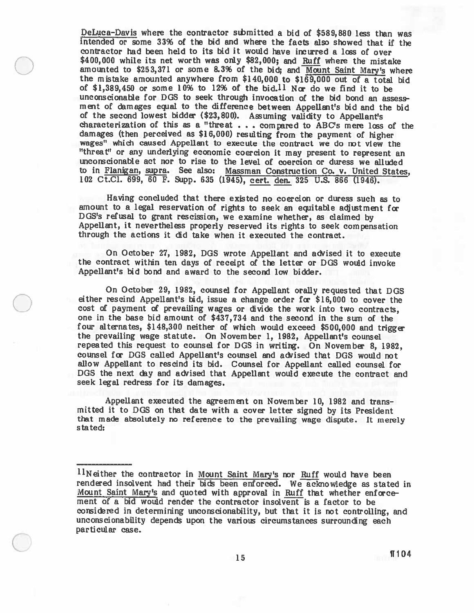DeLuca—Davis where the contractor sthmitted <sup>a</sup> bid of \$589,880 less than was intended or some 33% of the bid and where the facts also showed that if the contractor had been held to its bid it would have incurred a loss of over \$400,000 while its net worth was only \$82,000; and Ruff where the mistake amounted to  $$253,371$  or some  $8.3\%$  of the bid; and Mount Saint Mary's where the mistake amounted anywhere from \$140,000 to \$169,000 out of <sup>a</sup> total bid of \$1,389,450 or some 10% to 12% of the bid.<sup>11</sup> Nor do we find it to be unconscionable for DGS to seek through invocation of the bid bond an assess ment of damages equal to the difference between Appellant's bid and the bid of the second lowest bidder (\$23,800). Assuming validity to Appellant's characterization of this as a "threat  $\ldots$  compared to ABC's mere loss of the damages (then perceived as \$16,000) resulting from the paymen<sup>t</sup> of higher wages" which caused Appellant to execute the contract we do not view the "threat" or any underlying economic coercion it may presen<sup>t</sup> to represen<sup>t</sup> an unconscionable act nor to rise to the level of coercion or duress we alluded to in Flanigan, supra. See also: Massman Construction Co. v. United States, <sup>102</sup> Ct.C1. 699, <sup>60</sup> F. Supp. <sup>635</sup> (1945), cert. den. <sup>325</sup> U.S. <sup>866</sup> (1946).

Having concluded that there existed no coercion or duress such as to amount to a legal reservation of rights to seek an equitable adjustment for DGS's refusal to grant rescission, we examine whether, as claimed by Appellant, it nevertheless properly reserved its rights to seek compensation through the actions it did take when it executed the contract.

On October 27, 1982, DGS wrote Appellant and advised it to execute the contract within ten days of receipt of the letter or DOS would invoke Appellant's bid bond and award to the second low bidder.

On October 29, 1982, counsel for Appellant orally requested that DGS either rescind Appellant's bid, issue a change order for \$16,000 to cover the cost of payment of prevailing wages or divide the work into two contracts, one in the base bid amount of \$437,734 and the second in the sum of the four alternates, \$148,300 neither of which would exceed \$500,000 and trigger the prevailing wage statute. On November 1, 1982, Appellant's counsel repeated this request to counsel for DGS in writing. On November 8, 1982, counsel fcc DOS called Appellant's counsel and advised that DOS would not allow Appellant to rescind its bid. Counsel for Appellant called counsel for DGS the next day and advised that Appellant would execute the contract and seek legal redress for its damages.

Appellant executed the agreemen<sup>t</sup> on November 10, 1982 and trans mitted it to DOS on that date with <sup>a</sup> cover letter signed by its President that made atsolutely no reference to the prevailing wage dispute. It merely stated:

 $11$ Neither the contractor in Mount Saint Mary's nor Ruff would have been rendered insolvent had their bids been enforced. We acknowledge as stated in Mount Saint Mary's and quoted with approval in Ruff that whether enforcement of <sup>a</sup> bid would render the contractor insolvent is <sup>a</sup> factor to be considered in determining unconscionability, but that it is not controlling, and unconscionability depends upon the various circumstances surrounding each particular case.